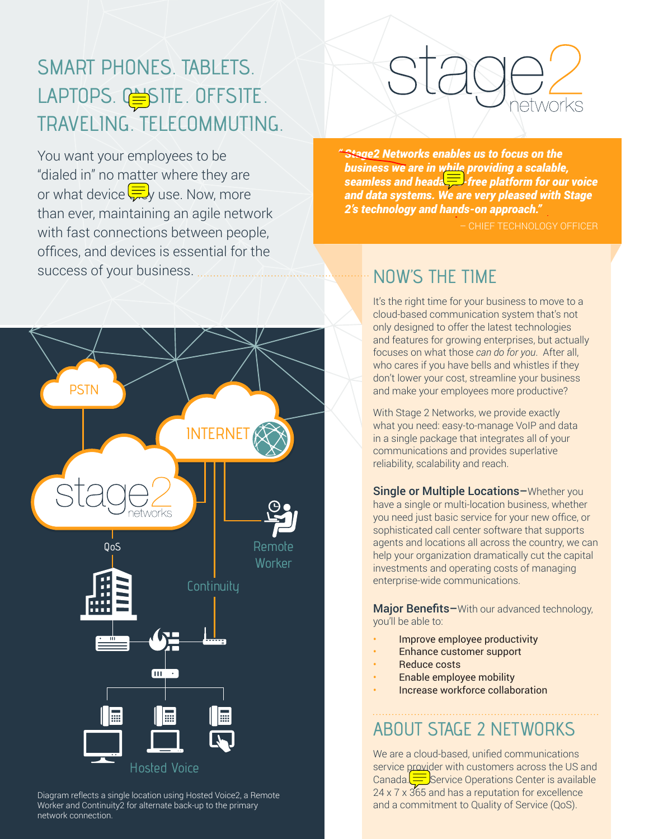## SMART PHONES. TABLETS. LAPTOPS. CSITE. OFFSITE. TRAVELING. TELECOMMUTING.

You want your employees to be "dialed in" no matter where they are or what device  $\left(\frac{1}{\sqrt{2}}\right)$  use. Now, more than ever, maintaining an agile network with fast connections between people, offices, and devices is essential for the success of your business.



Diagram reflects a single location using Hosted Voice2, a Remote Worker and Continuity2 for alternate back-up to the primary network connection.

# M/Or

*" Stage2 Networks enables us to focus on the business we are in while providing a scalable, seamless and headache-free platform for our voice and data systems. We are very pleased with Stage 2's technology and hands-on approach."* 

– CHIEF TECHNOLOGY OFFICER

### **NOW'S THE TIME**

It's the right time for your business to move to a cloud-based communication system that's not only designed to offer the latest technologies and features for growing enterprises, but actually focuses on what those *can do for you*. After all, who cares if you have bells and whistles if they don't lower your cost, streamline your business and make your employees more productive?

With Stage 2 Networks, we provide exactly what you need: easy-to-manage VoIP and data in a single package that integrates all of your communications and provides superlative reliability, scalability and reach.

Single or Multiple Locations–Whether you have a single or multi-location business, whether you need just basic service for your new office, or sophisticated call center software that supports agents and locations all across the country, we can help your organization dramatically cut the capital investments and operating costs of managing enterprise-wide communications.

Major Benefits-With our advanced technology, you'll be able to:

- Improve employee productivity
- Enhance customer support
- Reduce costs
- Enable employee mobility
- Increase workforce collaboration

## ABOUT STAGE 2 NETWORKS

We are a cloud-based, unified communications service provider with customers across the US and Canada. $\equiv$ Service Operations Center is available 24 x 7 x 365 and has a reputation for excellence and a commitment to Quality of Service (QoS).